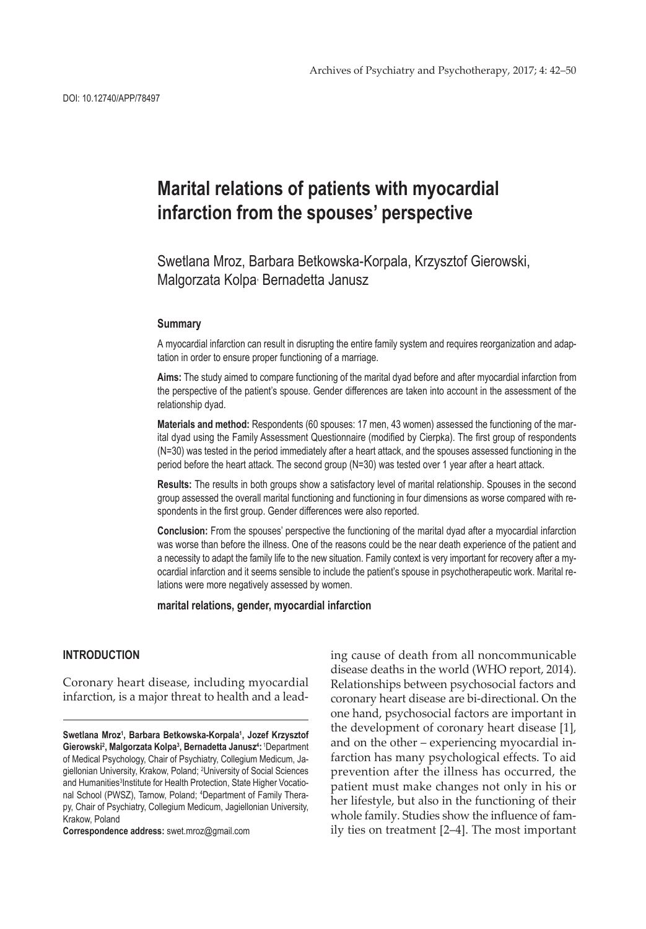# **Marital relations of patients with myocardial infarction from the spouses' perspective**

Swetlana Mroz, Barbara Betkowska-Korpala, Krzysztof Gierowski, Malgorzata Kolpa<sup>,</sup> Bernadetta Janusz

#### **Summary**

A myocardial infarction can result in disrupting the entire family system and requires reorganization and adaptation in order to ensure proper functioning of a marriage.

**Aims:** The study aimed to compare functioning of the marital dyad before and after myocardial infarction from the perspective of the patient's spouse. Gender differences are taken into account in the assessment of the relationship dyad.

**Materials and method:** Respondents (60 spouses: 17 men, 43 women) assessed the functioning of the marital dyad using the Family Assessment Questionnaire (modified by Cierpka). The first group of respondents (N=30) was tested in the period immediately after a heart attack, and the spouses assessed functioning in the period before the heart attack. The second group (N=30) was tested over 1 year after a heart attack.

**Results:** The results in both groups show a satisfactory level of marital relationship. Spouses in the second group assessed the overall marital functioning and functioning in four dimensions as worse compared with respondents in the first group. Gender differences were also reported.

**Conclusion:** From the spouses' perspective the functioning of the marital dyad after a myocardial infarction was worse than before the illness. One of the reasons could be the near death experience of the patient and a necessity to adapt the family life to the new situation. Family context is very important for recovery after a myocardial infarction and it seems sensible to include the patient's spouse in psychotherapeutic work. Marital relations were more negatively assessed by women.

**marital relations, gender, myocardial infarction**

# **INTRODUCTION**

Coronary heart disease, including myocardial infarction, is a major threat to health and a lead-

**Correspondence address:** swet.mroz@gmail.com

ing cause of death from all noncommunicable disease deaths in the world (WHO report, 2014). Relationships between psychosocial factors and coronary heart disease are bi-directional. On the one hand, psychosocial factors are important in the development of coronary heart disease [1], and on the other – experiencing myocardial infarction has many psychological effects. To aid prevention after the illness has occurred, the patient must make changes not only in his or her lifestyle, but also in the functioning of their whole family. Studies show the influence of family ties on treatment [2–4]. The most important

Swetlana Mroz<sup>1</sup>, Barbara Betkowska-Korpala<sup>1</sup>, Jozef Krzysztof Gierowski<sup>2</sup>, Malgorzata Kolpa<sup>3</sup>, Bernadetta Janusz<sup>4</sup>: <sup>1</sup>Department of Medical Psychology, Chair of Psychiatry, Collegium Medicum, Jagiellonian University, Krakow, Poland; 2 University of Social Sciences and Humanities<sup>3</sup>Institute for Health Protection, State Higher Vocational School (PWSZ), Tarnow, Poland; <sup>4</sup>Department of Family Therapy, Chair of Psychiatry, Collegium Medicum, Jagiellonian University, Krakow, Poland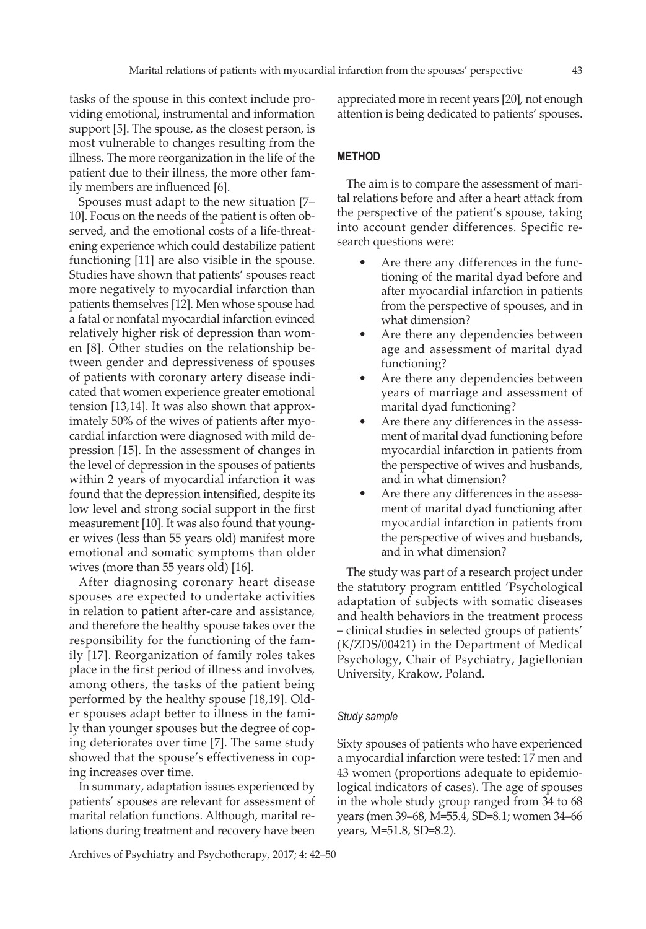tasks of the spouse in this context include providing emotional, instrumental and information support [5]. The spouse, as the closest person, is most vulnerable to changes resulting from the illness. The more reorganization in the life of the patient due to their illness, the more other family members are influenced [6].

Spouses must adapt to the new situation [7– 10]. Focus on the needs of the patient is often observed, and the emotional costs of a life-threatening experience which could destabilize patient functioning [11] are also visible in the spouse. Studies have shown that patients' spouses react more negatively to myocardial infarction than patients themselves [12]. Men whose spouse had a fatal or nonfatal myocardial infarction evinced relatively higher risk of depression than women [8]. Other studies on the relationship between gender and depressiveness of spouses of patients with coronary artery disease indicated that women experience greater emotional tension [13,14]. It was also shown that approximately 50% of the wives of patients after myocardial infarction were diagnosed with mild depression [15]. In the assessment of changes in the level of depression in the spouses of patients within 2 years of myocardial infarction it was found that the depression intensified, despite its low level and strong social support in the first measurement [10]. It was also found that younger wives (less than 55 years old) manifest more emotional and somatic symptoms than older wives (more than 55 years old) [16].

After diagnosing coronary heart disease spouses are expected to undertake activities in relation to patient after-care and assistance, and therefore the healthy spouse takes over the responsibility for the functioning of the family [17]. Reorganization of family roles takes place in the first period of illness and involves, among others, the tasks of the patient being performed by the healthy spouse [18,19]. Older spouses adapt better to illness in the family than younger spouses but the degree of coping deteriorates over time [7]. The same study showed that the spouse's effectiveness in coping increases over time.

In summary, adaptation issues experienced by patients' spouses are relevant for assessment of marital relation functions. Although, marital relations during treatment and recovery have been

Archives of Psychiatry and Psychotherapy, 2017; 4: 42–50

appreciated more in recent years [20], not enough attention is being dedicated to patients' spouses.

### **METHOD**

The aim is to compare the assessment of marital relations before and after a heart attack from the perspective of the patient's spouse, taking into account gender differences. Specific research questions were:

- Are there any differences in the functioning of the marital dyad before and after myocardial infarction in patients from the perspective of spouses, and in what dimension?
- Are there any dependencies between age and assessment of marital dyad functioning?
- Are there any dependencies between years of marriage and assessment of marital dyad functioning?
- Are there any differences in the assessment of marital dyad functioning before myocardial infarction in patients from the perspective of wives and husbands, and in what dimension?
- Are there any differences in the assessment of marital dyad functioning after myocardial infarction in patients from the perspective of wives and husbands, and in what dimension?

The study was part of a research project under the statutory program entitled 'Psychological adaptation of subjects with somatic diseases and health behaviors in the treatment process – clinical studies in selected groups of patients' (K/ZDS/00421) in the Department of Medical Psychology, Chair of Psychiatry, Jagiellonian University, Krakow, Poland.

#### *Study sample*

Sixty spouses of patients who have experienced a myocardial infarction were tested: 17 men and 43 women (proportions adequate to epidemiological indicators of cases). The age of spouses in the whole study group ranged from 34 to 68 years (men 39–68, M=55.4, SD=8.1; women 34–66 years, M=51.8, SD=8.2).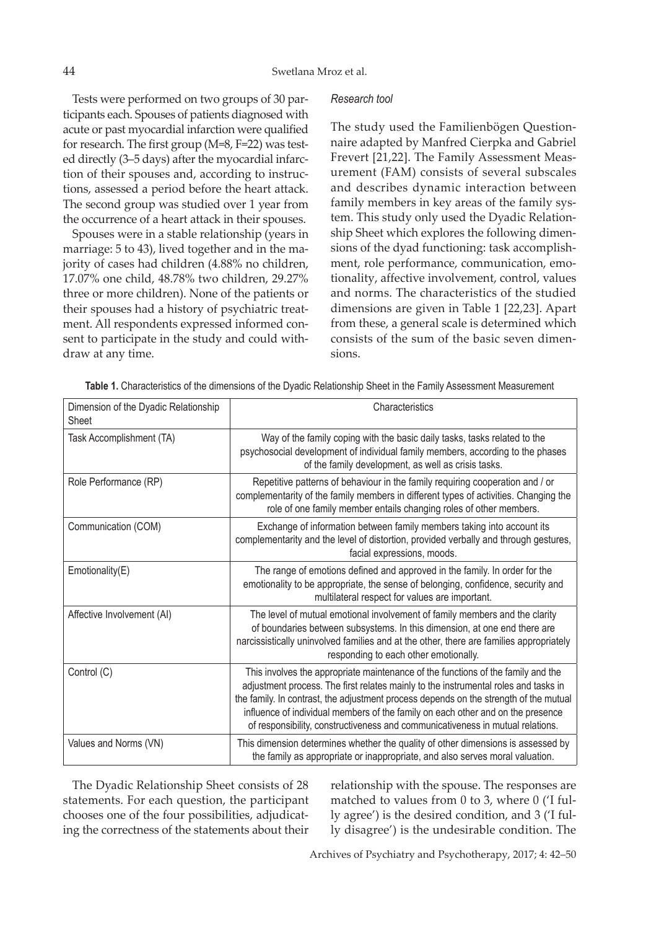Tests were performed on two groups of 30 participants each. Spouses of patients diagnosed with acute or past myocardial infarction were qualified for research. The first group (M=8, F=22) was tested directly (3–5 days) after the myocardial infarction of their spouses and, according to instructions, assessed a period before the heart attack. The second group was studied over 1 year from the occurrence of a heart attack in their spouses.

Spouses were in a stable relationship (years in marriage: 5 to 43), lived together and in the majority of cases had children (4.88% no children, 17.07% one child, 48.78% two children, 29.27% three or more children). None of the patients or their spouses had a history of psychiatric treatment. All respondents expressed informed consent to participate in the study and could withdraw at any time.

#### *Research tool*

The study used the Familienbögen Questionnaire adapted by Manfred Cierpka and Gabriel Frevert [21,22]. The Family Assessment Measurement (FAM) consists of several subscales and describes dynamic interaction between family members in key areas of the family system. This study only used the Dyadic Relationship Sheet which explores the following dimensions of the dyad functioning: task accomplishment, role performance, communication, emotionality, affective involvement, control, values and norms. The characteristics of the studied dimensions are given in Table 1 [22,23]. Apart from these, a general scale is determined which consists of the sum of the basic seven dimensions.

|  |  |  |  |  |  |  | Table 1. Characteristics of the dimensions of the Dyadic Relationship Sheet in the Family Assessment Measurement |
|--|--|--|--|--|--|--|------------------------------------------------------------------------------------------------------------------|
|--|--|--|--|--|--|--|------------------------------------------------------------------------------------------------------------------|

| Dimension of the Dyadic Relationship<br>Sheet | Characteristics                                                                                                                                                                                                                                                                                                                                                                                                                       |
|-----------------------------------------------|---------------------------------------------------------------------------------------------------------------------------------------------------------------------------------------------------------------------------------------------------------------------------------------------------------------------------------------------------------------------------------------------------------------------------------------|
| Task Accomplishment (TA)                      | Way of the family coping with the basic daily tasks, tasks related to the<br>psychosocial development of individual family members, according to the phases<br>of the family development, as well as crisis tasks.                                                                                                                                                                                                                    |
| Role Performance (RP)                         | Repetitive patterns of behaviour in the family requiring cooperation and / or<br>complementarity of the family members in different types of activities. Changing the<br>role of one family member entails changing roles of other members.                                                                                                                                                                                           |
| Communication (COM)                           | Exchange of information between family members taking into account its<br>complementarity and the level of distortion, provided verbally and through gestures,<br>facial expressions, moods.                                                                                                                                                                                                                                          |
| Emotionality(E)                               | The range of emotions defined and approved in the family. In order for the<br>emotionality to be appropriate, the sense of belonging, confidence, security and<br>multilateral respect for values are important.                                                                                                                                                                                                                      |
| Affective Involvement (AI)                    | The level of mutual emotional involvement of family members and the clarity<br>of boundaries between subsystems. In this dimension, at one end there are<br>narcissistically uninvolved families and at the other, there are families appropriately<br>responding to each other emotionally.                                                                                                                                          |
| Control (C)                                   | This involves the appropriate maintenance of the functions of the family and the<br>adjustment process. The first relates mainly to the instrumental roles and tasks in<br>the family. In contrast, the adjustment process depends on the strength of the mutual<br>influence of individual members of the family on each other and on the presence<br>of responsibility, constructiveness and communicativeness in mutual relations. |
| Values and Norms (VN)                         | This dimension determines whether the quality of other dimensions is assessed by<br>the family as appropriate or inappropriate, and also serves moral valuation.                                                                                                                                                                                                                                                                      |

The Dyadic Relationship Sheet consists of 28 statements. For each question, the participant chooses one of the four possibilities, adjudicating the correctness of the statements about their relationship with the spouse. The responses are matched to values from 0 to 3, where 0 ('I fully agree') is the desired condition, and 3 ('I fully disagree') is the undesirable condition. The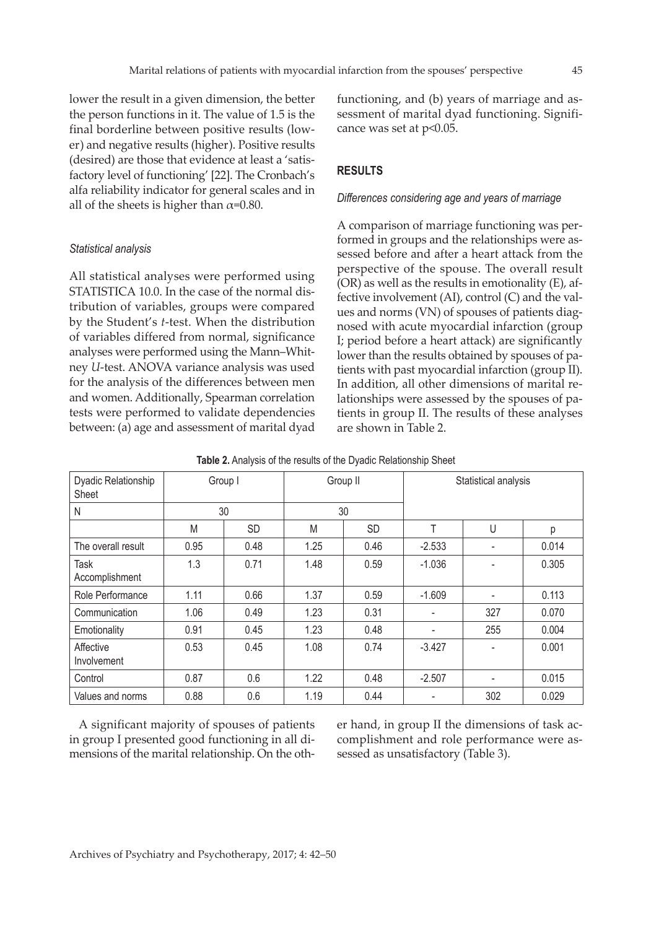lower the result in a given dimension, the better the person functions in it. The value of 1.5 is the final borderline between positive results (lower) and negative results (higher). Positive results (desired) are those that evidence at least a 'satisfactory level of functioning' [22]. The Cronbach's alfa reliability indicator for general scales and in all of the sheets is higher than  $\alpha$ =0.80.

#### *Statistical analysis*

All statistical analyses were performed using STATISTICA 10.0. In the case of the normal distribution of variables, groups were compared by the Student's *t*-test. When the distribution of variables differed from normal, significance analyses were performed using the Mann–Whitney *U*-test. ANOVA variance analysis was used for the analysis of the differences between men and women. Additionally, Spearman correlation tests were performed to validate dependencies between: (a) age and assessment of marital dyad functioning, and (b) years of marriage and assessment of marital dyad functioning. Significance was set at p<0.05.

# **RESULTS**

#### *Differences considering age and years of marriage*

A comparison of marriage functioning was performed in groups and the relationships were assessed before and after a heart attack from the perspective of the spouse. The overall result (OR) as well as the results in emotionality (E), affective involvement (AI), control (C) and the values and norms (VN) of spouses of patients diagnosed with acute myocardial infarction (group I; period before a heart attack) are significantly lower than the results obtained by spouses of patients with past myocardial infarction (group II). In addition, all other dimensions of marital relationships were assessed by the spouses of patients in group II. The results of these analyses are shown in Table 2.

| Dyadic Relationship<br>Sheet | Group I |           |      | Group II  | Statistical analysis |     |       |  |  |
|------------------------------|---------|-----------|------|-----------|----------------------|-----|-------|--|--|
| N                            |         | 30        |      | 30        |                      |     |       |  |  |
|                              | M       | <b>SD</b> | M    | <b>SD</b> | T                    | U   | р     |  |  |
| The overall result           | 0.95    | 0.48      | 1.25 | 0.46      | $-2.533$             |     | 0.014 |  |  |
| Task<br>Accomplishment       | 1.3     | 0.71      | 1.48 | 0.59      | $-1.036$             |     | 0.305 |  |  |
| Role Performance             | 1.11    | 0.66      | 1.37 | 0.59      | $-1.609$             |     | 0.113 |  |  |
| Communication                | 1.06    | 0.49      | 1.23 | 0.31      | ۰                    | 327 | 0.070 |  |  |
| Emotionality                 | 0.91    | 0.45      | 1.23 | 0.48      |                      | 255 | 0.004 |  |  |
| Affective<br>Involvement     | 0.53    | 0.45      | 1.08 | 0.74      | $-3.427$             |     | 0.001 |  |  |
| Control                      | 0.87    | 0.6       | 1.22 | 0.48      | $-2.507$             |     | 0.015 |  |  |
| Values and norms             | 0.88    | 0.6       | 1.19 | 0.44      |                      | 302 | 0.029 |  |  |

| Table 2. Analysis of the results of the Dyadic Relationship Sheet |  |  |  |
|-------------------------------------------------------------------|--|--|--|
|-------------------------------------------------------------------|--|--|--|

A significant majority of spouses of patients in group I presented good functioning in all dimensions of the marital relationship. On the other hand, in group II the dimensions of task accomplishment and role performance were assessed as unsatisfactory (Table 3).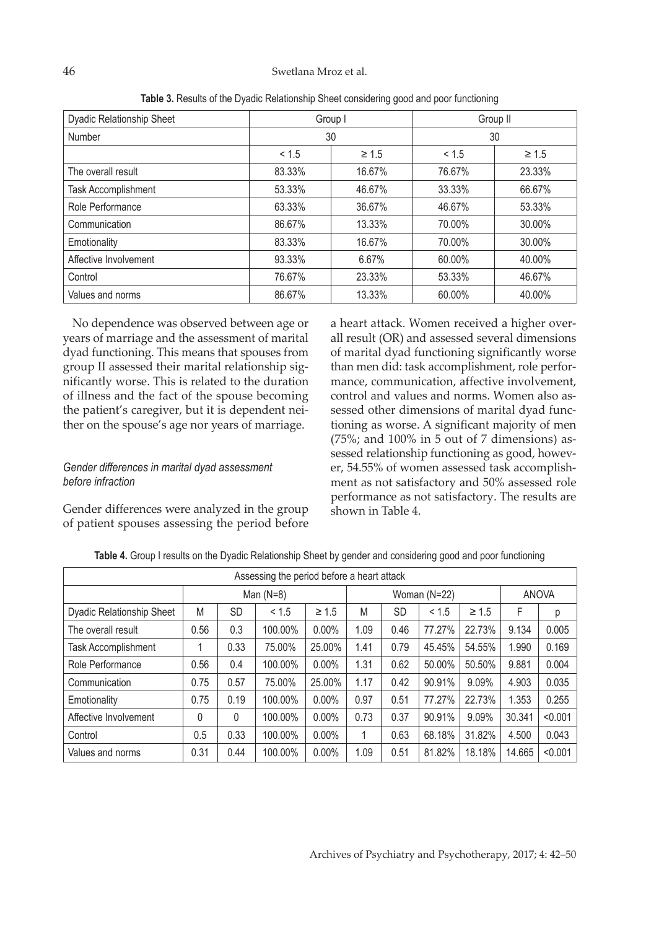| Dyadic Relationship Sheet |        | Group I    | Group II |            |  |  |
|---------------------------|--------|------------|----------|------------|--|--|
| Number                    |        | 30         | 30       |            |  |  |
|                           | < 1.5  | $\geq 1.5$ | < 1.5    | $\geq 1.5$ |  |  |
| The overall result        | 83.33% | 16.67%     | 76.67%   | 23.33%     |  |  |
| Task Accomplishment       | 53.33% | 46.67%     | 33.33%   | 66.67%     |  |  |
| Role Performance          | 63.33% | 36.67%     | 46.67%   | 53.33%     |  |  |
| Communication             | 86.67% | 13.33%     | 70.00%   | 30.00%     |  |  |
| Emotionality              | 83.33% | 16.67%     | 70.00%   | 30.00%     |  |  |
| Affective Involvement     | 93.33% | 6.67%      | 60.00%   | 40.00%     |  |  |
| Control                   | 76.67% | 23.33%     | 53.33%   | 46.67%     |  |  |
| Values and norms          | 86.67% | 13.33%     | 60.00%   | 40.00%     |  |  |

**Table 3.** Results of the Dyadic Relationship Sheet considering good and poor functioning

No dependence was observed between age or years of marriage and the assessment of marital dyad functioning. This means that spouses from group II assessed their marital relationship significantly worse. This is related to the duration of illness and the fact of the spouse becoming the patient's caregiver, but it is dependent neither on the spouse's age nor years of marriage.

# *Gender differences in marital dyad assessment before infraction*

Gender differences were analyzed in the group of patient spouses assessing the period before a heart attack. Women received a higher overall result (OR) and assessed several dimensions of marital dyad functioning significantly worse than men did: task accomplishment, role performance, communication, affective involvement, control and values and norms. Women also assessed other dimensions of marital dyad functioning as worse. A significant majority of men (75%; and 100% in 5 out of 7 dimensions) assessed relationship functioning as good, however, 54.55% of women assessed task accomplishment as not satisfactory and 50% assessed role performance as not satisfactory. The results are shown in Table 4.

| Assessing the period before a heart attack |      |             |         |            |      |              |        |            |        |              |  |
|--------------------------------------------|------|-------------|---------|------------|------|--------------|--------|------------|--------|--------------|--|
|                                            |      | Man $(N=8)$ |         |            |      | Woman (N=22) |        |            |        | <b>ANOVA</b> |  |
| <b>Dyadic Relationship Sheet</b>           | M    | <b>SD</b>   | < 1.5   | $\geq 1.5$ | M    | <b>SD</b>    | < 1.5  | $\geq 1.5$ | F      | р            |  |
| The overall result                         | 0.56 | 0.3         | 100.00% | $0.00\%$   | 1.09 | 0.46         | 77.27% | 22.73%     | 9.134  | 0.005        |  |
| Task Accomplishment                        |      | 0.33        | 75.00%  | 25.00%     | 1.41 | 0.79         | 45.45% | 54.55%     | 1.990  | 0.169        |  |
| Role Performance                           | 0.56 | 0.4         | 100.00% | 0.00%      | 1.31 | 0.62         | 50.00% | 50.50%     | 9.881  | 0.004        |  |
| Communication                              | 0.75 | 0.57        | 75.00%  | 25.00%     | 1.17 | 0.42         | 90.91% | 9.09%      | 4.903  | 0.035        |  |
| Emotionality                               | 0.75 | 0.19        | 100.00% | 0.00%      | 0.97 | 0.51         | 77.27% | 22.73%     | 1.353  | 0.255        |  |
| Affective Involvement                      | 0    | 0           | 100.00% | 0.00%      | 0.73 | 0.37         | 90.91% | 9.09%      | 30.341 | < 0.001      |  |
| Control                                    | 0.5  | 0.33        | 100.00% | 0.00%      |      | 0.63         | 68.18% | 31.82%     | 4.500  | 0.043        |  |
| Values and norms                           | 0.31 | 0.44        | 100.00% | 0.00%      | 1.09 | 0.51         | 81.82% | 18.18%     | 14.665 | < 0.001      |  |

**Table 4.** Group I results on the Dyadic Relationship Sheet by gender and considering good and poor functioning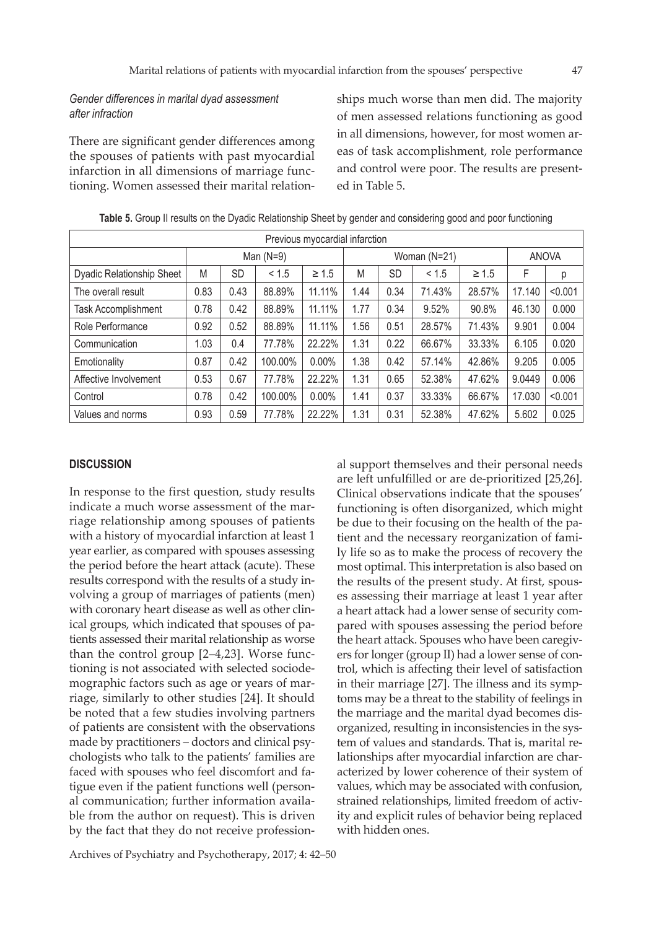# *Gender differences in marital dyad assessment after infraction*

There are significant gender differences among the spouses of patients with past myocardial infarction in all dimensions of marriage functioning. Women assessed their marital relation-

ships much worse than men did. The majority of men assessed relations functioning as good in all dimensions, however, for most women areas of task accomplishment, role performance and control were poor. The results are presented in Table 5.

| Previous myocardial infarction   |             |           |         |            |              |           |        |            |              |         |
|----------------------------------|-------------|-----------|---------|------------|--------------|-----------|--------|------------|--------------|---------|
|                                  | Man $(N=9)$ |           |         |            | Woman (N=21) |           |        |            | <b>ANOVA</b> |         |
| <b>Dyadic Relationship Sheet</b> | M           | <b>SD</b> | < 1.5   | $\geq 1.5$ | M            | <b>SD</b> | < 1.5  | $\geq 1.5$ | F            | р       |
| The overall result               | 0.83        | 0.43      | 88.89%  | 11.11%     | 1.44         | 0.34      | 71.43% | 28.57%     | 17.140       | < 0.001 |
| Task Accomplishment              | 0.78        | 0.42      | 88.89%  | 11.11%     | 1.77         | 0.34      | 9.52%  | 90.8%      | 46.130       | 0.000   |
| Role Performance                 | 0.92        | 0.52      | 88.89%  | 11.11%     | 1.56         | 0.51      | 28.57% | 71.43%     | 9.901        | 0.004   |
| Communication                    | 1.03        | 0.4       | 77.78%  | 22.22%     | 1.31         | 0.22      | 66.67% | 33.33%     | 6.105        | 0.020   |
| Emotionality                     | 0.87        | 0.42      | 100.00% | $0.00\%$   | 1.38         | 0.42      | 57.14% | 42.86%     | 9.205        | 0.005   |
| Affective Involvement            | 0.53        | 0.67      | 77.78%  | 22.22%     | 1.31         | 0.65      | 52.38% | 47.62%     | 9.0449       | 0.006   |
| Control                          | 0.78        | 0.42      | 100.00% | 0.00%      | 1.41         | 0.37      | 33.33% | 66.67%     | 17.030       | < 0.001 |
| Values and norms                 | 0.93        | 0.59      | 77.78%  | 22.22%     | 1.31         | 0.31      | 52.38% | 47.62%     | 5.602        | 0.025   |

**Table 5.** Group II results on the Dyadic Relationship Sheet by gender and considering good and poor functioning

#### **DISCUSSION**

In response to the first question, study results indicate a much worse assessment of the marriage relationship among spouses of patients with a history of myocardial infarction at least 1 year earlier, as compared with spouses assessing the period before the heart attack (acute). These results correspond with the results of a study involving a group of marriages of patients (men) with coronary heart disease as well as other clinical groups, which indicated that spouses of patients assessed their marital relationship as worse than the control group [2–4,23]. Worse functioning is not associated with selected sociodemographic factors such as age or years of marriage, similarly to other studies [24]. It should be noted that a few studies involving partners of patients are consistent with the observations made by practitioners – doctors and clinical psychologists who talk to the patients' families are faced with spouses who feel discomfort and fatigue even if the patient functions well (personal communication; further information available from the author on request). This is driven by the fact that they do not receive profession-

al support themselves and their personal needs are left unfulfilled or are de-prioritized [25,26]. Clinical observations indicate that the spouses' functioning is often disorganized, which might be due to their focusing on the health of the patient and the necessary reorganization of family life so as to make the process of recovery the most optimal. This interpretation is also based on the results of the present study. At first, spouses assessing their marriage at least 1 year after a heart attack had a lower sense of security compared with spouses assessing the period before the heart attack. Spouses who have been caregivers for longer (group II) had a lower sense of control, which is affecting their level of satisfaction in their marriage [27]. The illness and its symptoms may be a threat to the stability of feelings in the marriage and the marital dyad becomes disorganized, resulting in inconsistencies in the system of values and standards. That is, marital relationships after myocardial infarction are characterized by lower coherence of their system of values, which may be associated with confusion, strained relationships, limited freedom of activity and explicit rules of behavior being replaced with hidden ones.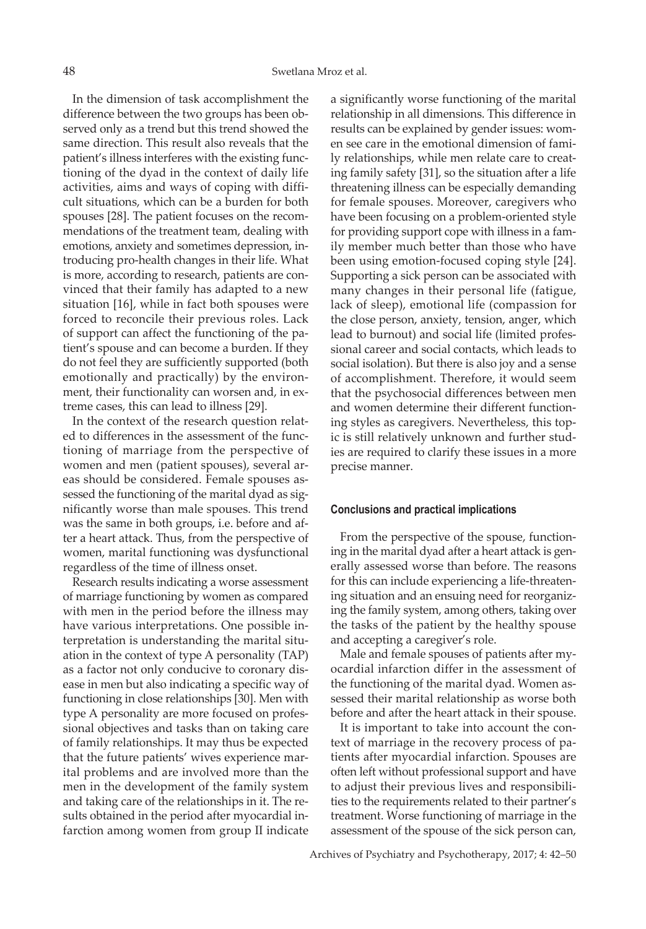In the dimension of task accomplishment the difference between the two groups has been observed only as a trend but this trend showed the same direction. This result also reveals that the patient's illness interferes with the existing functioning of the dyad in the context of daily life activities, aims and ways of coping with difficult situations, which can be a burden for both spouses [28]. The patient focuses on the recommendations of the treatment team, dealing with emotions, anxiety and sometimes depression, introducing pro-health changes in their life. What is more, according to research, patients are convinced that their family has adapted to a new situation [16], while in fact both spouses were forced to reconcile their previous roles. Lack of support can affect the functioning of the patient's spouse and can become a burden. If they do not feel they are sufficiently supported (both emotionally and practically) by the environment, their functionality can worsen and, in extreme cases, this can lead to illness [29].

In the context of the research question related to differences in the assessment of the functioning of marriage from the perspective of women and men (patient spouses), several areas should be considered. Female spouses assessed the functioning of the marital dyad as significantly worse than male spouses. This trend was the same in both groups, i.e. before and after a heart attack. Thus, from the perspective of women, marital functioning was dysfunctional regardless of the time of illness onset.

Research results indicating a worse assessment of marriage functioning by women as compared with men in the period before the illness may have various interpretations. One possible interpretation is understanding the marital situation in the context of type A personality (TAP) as a factor not only conducive to coronary disease in men but also indicating a specific way of functioning in close relationships [30]. Men with type A personality are more focused on professional objectives and tasks than on taking care of family relationships. It may thus be expected that the future patients' wives experience marital problems and are involved more than the men in the development of the family system and taking care of the relationships in it. The results obtained in the period after myocardial infarction among women from group II indicate a significantly worse functioning of the marital relationship in all dimensions. This difference in results can be explained by gender issues: women see care in the emotional dimension of family relationships, while men relate care to creating family safety [31], so the situation after a life threatening illness can be especially demanding for female spouses. Moreover, caregivers who have been focusing on a problem-oriented style for providing support cope with illness in a family member much better than those who have been using emotion-focused coping style [24]. Supporting a sick person can be associated with many changes in their personal life (fatigue, lack of sleep), emotional life (compassion for the close person, anxiety, tension, anger, which lead to burnout) and social life (limited professional career and social contacts, which leads to social isolation). But there is also joy and a sense of accomplishment. Therefore, it would seem that the psychosocial differences between men and women determine their different functioning styles as caregivers. Nevertheless, this topic is still relatively unknown and further studies are required to clarify these issues in a more precise manner.

#### **Conclusions and practical implications**

From the perspective of the spouse, functioning in the marital dyad after a heart attack is generally assessed worse than before. The reasons for this can include experiencing a life-threatening situation and an ensuing need for reorganizing the family system, among others, taking over the tasks of the patient by the healthy spouse and accepting a caregiver's role.

Male and female spouses of patients after myocardial infarction differ in the assessment of the functioning of the marital dyad. Women assessed their marital relationship as worse both before and after the heart attack in their spouse.

It is important to take into account the context of marriage in the recovery process of patients after myocardial infarction. Spouses are often left without professional support and have to adjust their previous lives and responsibilities to the requirements related to their partner's treatment. Worse functioning of marriage in the assessment of the spouse of the sick person can,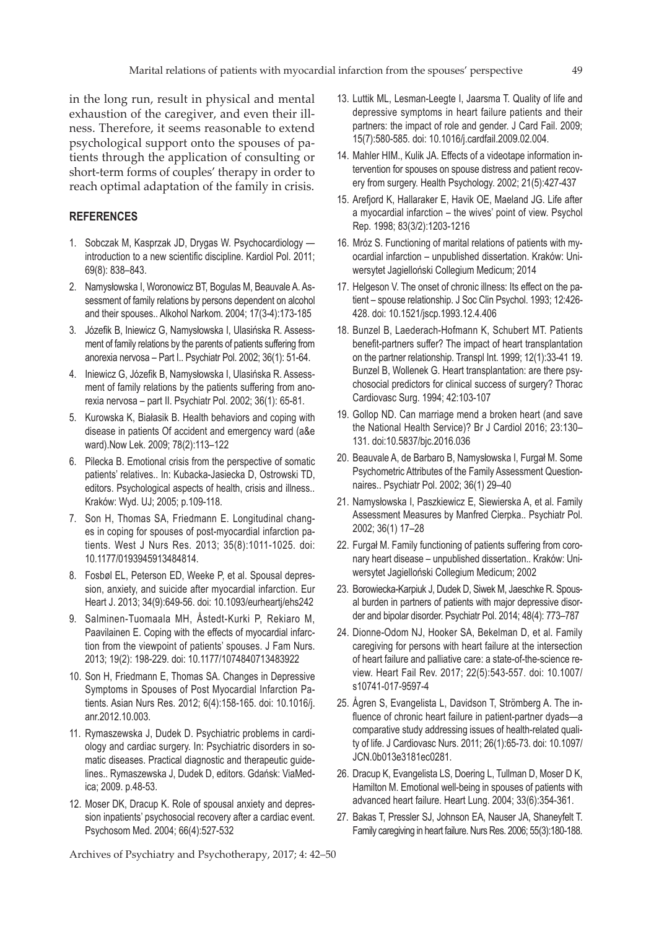in the long run, result in physical and mental exhaustion of the caregiver, and even their illness. Therefore, it seems reasonable to extend psychological support onto the spouses of patients through the application of consulting or short-term forms of couples' therapy in order to reach optimal adaptation of the family in crisis.

# **REFERENCES**

- 1. Sobczak M, Kasprzak JD, Drygas W. Psychocardiology introduction to a new scientific discipline. Kardiol Pol. 2011; 69(8): 838–843.
- 2. Namysłowska I, Woronowicz BT, Bogulas M, Beauvale A. Assessment of family relations by persons dependent on alcohol and their spouses.. Alkohol Narkom. 2004; 17(3-4):173-185
- 3. Józefik B, Iniewicz G, Namysłowska I, Ulasińska R. Assessment of family relations by the parents of patients suffering from anorexia nervosa – Part I.. Psychiatr Pol. 2002; 36(1): 51-64.
- 4. Iniewicz G, Józefik B, Namysłowska I, Ulasińska R. Assessment of family relations by the patients suffering from anorexia nervosa – part II. Psychiatr Pol. 2002; 36(1): 65-81.
- 5. Kurowska K, Białasik B. Health behaviors and coping with disease in patients Of accident and emergency ward (a&e ward).Now Lek. 2009; 78(2):113–122
- 6. Pilecka B. Emotional crisis from the perspective of somatic patients' relatives.. In: Kubacka-Jasiecka D, Ostrowski TD, editors. Psychological aspects of health, crisis and illness.. Kraków: Wyd. UJ; 2005; p.109-118.
- 7. Son H, Thomas SA, Friedmann E. Longitudinal changes in coping for spouses of post-myocardial infarction patients. West J Nurs Res. 2013; 35(8):1011-1025. doi: 10.1177/0193945913484814.
- 8. Fosbøl EL, Peterson ED, Weeke P, et al. Spousal depression, anxiety, and suicide after myocardial infarction. Eur Heart J. 2013; 34(9):649-56. doi: 10.1093/eurheartj/ehs242
- 9. Salminen-Tuomaala MH, Åstedt-Kurki P, Rekiaro M, Paavilainen E. Coping with the effects of myocardial infarction from the viewpoint of patients' spouses. J Fam Nurs. 2013; 19(2): 198-229. doi: 10.1177/1074840713483922
- 10. Son H, Friedmann E, Thomas SA. Changes in Depressive Symptoms in Spouses of Post Myocardial Infarction Patients. Asian Nurs Res. 2012; 6(4):158-165. doi: 10.1016/j. anr.2012.10.003.
- 11. Rymaszewska J, Dudek D. Psychiatric problems in cardiology and cardiac surgery. In: Psychiatric disorders in somatic diseases. Practical diagnostic and therapeutic guidelines.. Rymaszewska J, Dudek D, editors. Gdańsk: ViaMedica; 2009. p.48-53.
- 12. Moser DK, Dracup K. Role of spousal anxiety and depression inpatients' psychosocial recovery after a cardiac event. Psychosom Med. 2004; 66(4):527-532

- 13. Luttik ML, Lesman-Leegte I, Jaarsma T. Quality of life and depressive symptoms in heart failure patients and their partners: the impact of role and gender. J Card Fail. 2009; 15(7):580-585. doi: 10.1016/j.cardfail.2009.02.004.
- 14. Mahler HIM., Kulik JA. Effects of a videotape information intervention for spouses on spouse distress and patient recovery from surgery. Health Psychology. 2002; 21(5):427-437
- 15. Arefjord K, Hallaraker E, Havik OE, Maeland JG. Life after a myocardial infarction – the wives' point of view. Psychol Rep. 1998; 83(3/2):1203-1216
- 16. Mróz S. Functioning of marital relations of patients with myocardial infarction – unpublished dissertation. Kraków: Uniwersytet Jagielloński Collegium Medicum; 2014
- 17. Helgeson V. The onset of chronic illness: Its effect on the patient – spouse relationship. J Soc Clin Psychol. 1993; 12:426- 428. doi: 10.1521/jscp.1993.12.4.406
- 18. Bunzel B, Laederach-Hofmann K, Schubert MT. Patients benefit-partners suffer? The impact of heart transplantation on the partner relationship. Transpl Int. 1999; 12(1):33-41 19. Bunzel B, Wollenek G. Heart transplantation: are there psychosocial predictors for clinical success of surgery? Thorac Cardiovasc Surg. 1994; 42:103-107
- 19. Gollop ND. Can marriage mend a broken heart (and save the National Health Service)? Br J Cardiol 2016; 23:130– 131. doi:10.5837/bjc.2016.036
- 20. Beauvale A, de Barbaro B, Namysłowska I, Furgał M. Some Psychometric Attributes of the Family Assessment Questionnaires.. Psychiatr Pol. 2002; 36(1) 29–40
- 21. Namysłowska I, Paszkiewicz E, Siewierska A, et al. Family Assessment Measures by Manfred Cierpka.. Psychiatr Pol. 2002; 36(1) 17–28
- 22. Furgał M. Family functioning of patients suffering from coronary heart disease – unpublished dissertation.. Kraków: Uniwersytet Jagielloński Collegium Medicum; 2002
- 23. Borowiecka-Karpiuk J, Dudek D, Siwek M, Jaeschke R. Spousal burden in partners of patients with major depressive disorder and bipolar disorder. Psychiatr Pol. 2014; 48(4): 773–787
- 24. Dionne-Odom NJ, Hooker SA, Bekelman D, et al. Family caregiving for persons with heart failure at the intersection of heart failure and palliative care: a state-of-the-science review. Heart Fail Rev. 2017; 22(5):543-557. doi: 10.1007/ s10741-017-9597-4
- 25. Ågren S, Evangelista L, Davidson T, Strömberg A. The influence of chronic heart failure in patient-partner dyads—a comparative study addressing issues of health-related quality of life. J Cardiovasc Nurs. 2011; 26(1):65-73. doi: 10.1097/ JCN.0b013e3181ec0281.
- 26. Dracup K, Evangelista LS, Doering L, Tullman D, Moser D K, Hamilton M. Emotional well-being in spouses of patients with advanced heart failure. Heart Lung. 2004; 33(6):354-361.
- 27. Bakas T, Pressler SJ, Johnson EA, Nauser JA, Shaneyfelt T. Family caregiving in heart failure. Nurs Res. 2006; 55(3):180-188.